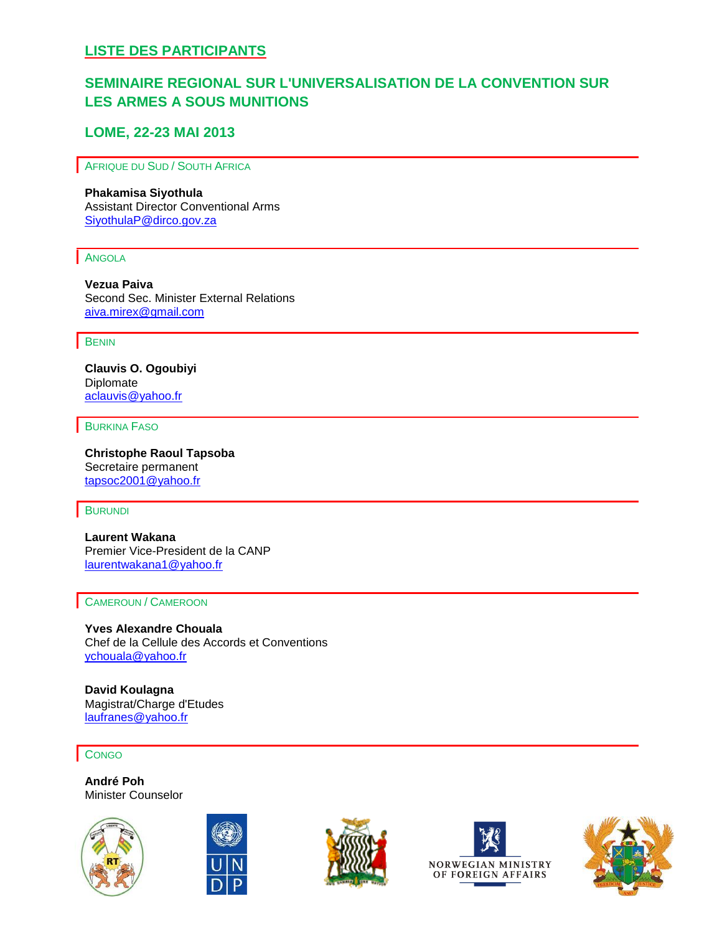# **SEMINAIRE REGIONAL SUR L'UNIVERSALISATION DE LA CONVENTION SUR LES ARMES A SOUS MUNITIONS**

## **LOME, 22-23 MAI 2013**

AFRIQUE DU SUD / SOUTH AFRICA

#### **Phakamisa Siyothula**

Assistant Director Conventional Arms SiyothulaP@dirco.gov.za

#### ANGOLA

**Vezua Paiva** Second Sec. Minister External Relations aiva.mirex@gmail.com

#### **BENIN**

**Clauvis O. Ogoubiyi** Diplomate [aclauvis@yahoo.fr](mailto:vpaiva.mirex@gmail.com)

BURKINA FASO

**Christophe Raoul Tapsoba** Secretaire permanent [tapsoc2001@yahoo.fr](mailto:aclauvis@yahoo.fr)

#### **BURUNDI**

**Laurent Wakana** Premier Vice-President de la CANP [laurentwakana1@yahoo.fr](mailto:laurentwakana1@yahoo.fr)

#### CAMEROUN / CAMEROON

**Yves Alexandre Chouala** Chef de la Cellule des Accords et Conventions [ychouala@yahoo.fr](mailto:ychouala@yahoo.fr)

**David Koulagna** Magistrat/Charge d'Etudes [laufranes@yahoo.fr](mailto:laufranes@yahoo.fr)

**CONGO** 

**André Poh** Minister Counselor









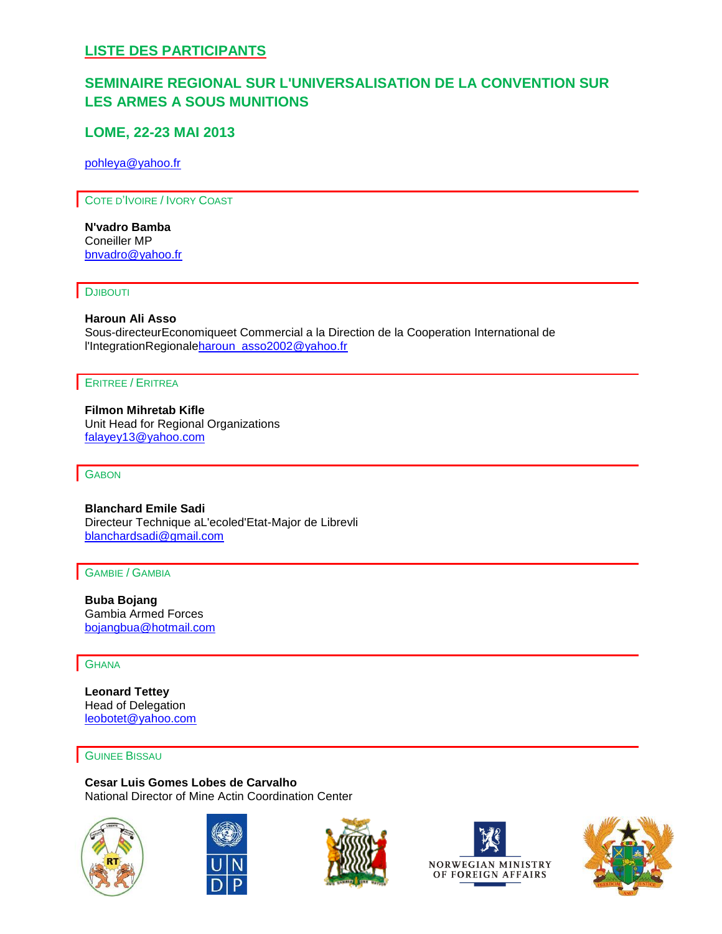# **SEMINAIRE REGIONAL SUR L'UNIVERSALISATION DE LA CONVENTION SUR LES ARMES A SOUS MUNITIONS**

## **LOME, 22-23 MAI 2013**

[pohleya@yahoo.fr](mailto:pohleya@yahoo.fr)

COTE D'IVOIRE / IVORY COAST

**N'vadro Bamba** Coneiller MP [bnvadro@yahoo.fr](mailto:bnvadro@yahoo.fr)

#### **DJIBOUTI**

### **Haroun Ali Asso**

Sous-directeurEconomiqueet Commercial a la Direction de la Cooperation International de l'IntegrationRegional[eharoun\\_asso2002@yahoo.fr](mailto:haroun_asso2002@yahoo.fr)

### ERITREE / ERITREA

**Filmon Mihretab Kifle** Unit Head for Regional Organizations [falayey13@yahoo.com](mailto:pohleya@yahoo.fr)

#### **GABON**

**Blanchard Emile Sadi** Directeur Technique aL'ecoled'Etat-Major de Librevli [blanchardsadi@gmail.com](mailto:blanchardsadi@gmail.com)

GAMBIE / GAMBIA

**Buba Bojang** Gambia Armed Forces [bojangbua@hotmail.com](mailto:bojangbua@hotmail.com)

### **GHANA**

**Leonard Tettey** Head of Delegation [leobotet@yahoo.com](mailto:leobotet@yahoo.com)

#### GUINEE BISSAU

**Cesar Luis Gomes Lobes de Carvalho** National Director of Mine Actin Coordination Center









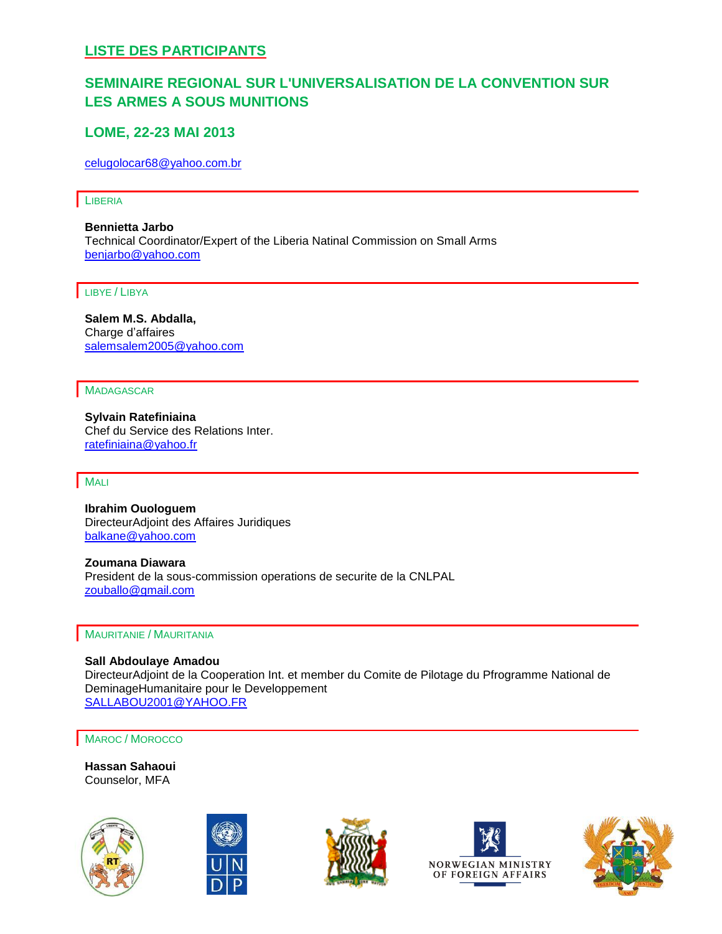# **SEMINAIRE REGIONAL SUR L'UNIVERSALISATION DE LA CONVENTION SUR LES ARMES A SOUS MUNITIONS**

## **LOME, 22-23 MAI 2013**

[celugolocar68@yahoo.com.br](mailto:celugolocar68@yahoo.com.br)

**LIBERIA** 

**Bennietta Jarbo** Technical Coordinator/Expert of the Liberia Natinal Commission on Small Arms [benjarbo@yahoo.com](mailto:benjarbo@yahoo.com)

LIBYE / LIBYA

**Salem M.S. Abdalla,**  Charge d'affaires [salemsalem2005@yahoo.com](mailto:salemsalem2005@yahoo.com)

MADAGASCAR

**Sylvain Ratefiniaina** Chef du Service des Relations Inter. [ratefiniaina@yahoo.fr](mailto:dil_bekee04@yahoo.com)

**MALI** 

**Ibrahim Ouologuem** DirecteurAdjoint des Affaires Juridiques [balkane@yahoo.com](mailto:bojangbua@hotmail.com)

**Zoumana Diawara** President de la sous-commission operations de securite de la CNLPAL [zouballo@gmail.com](mailto:zouballo@gmail.com)

MAURITANIE / MAURITANIA

**Sall Abdoulaye Amadou** DirecteurAdjoint de la Cooperation Int. et member du Comite de Pilotage du Pfrogramme National de DeminageHumanitaire pour le Developpement [SALLABOU2001@YAHOO.FR](mailto:leobotet@yahoo.com)

MAROC / MOROCCO

**Hassan Sahaoui** Counselor, MFA









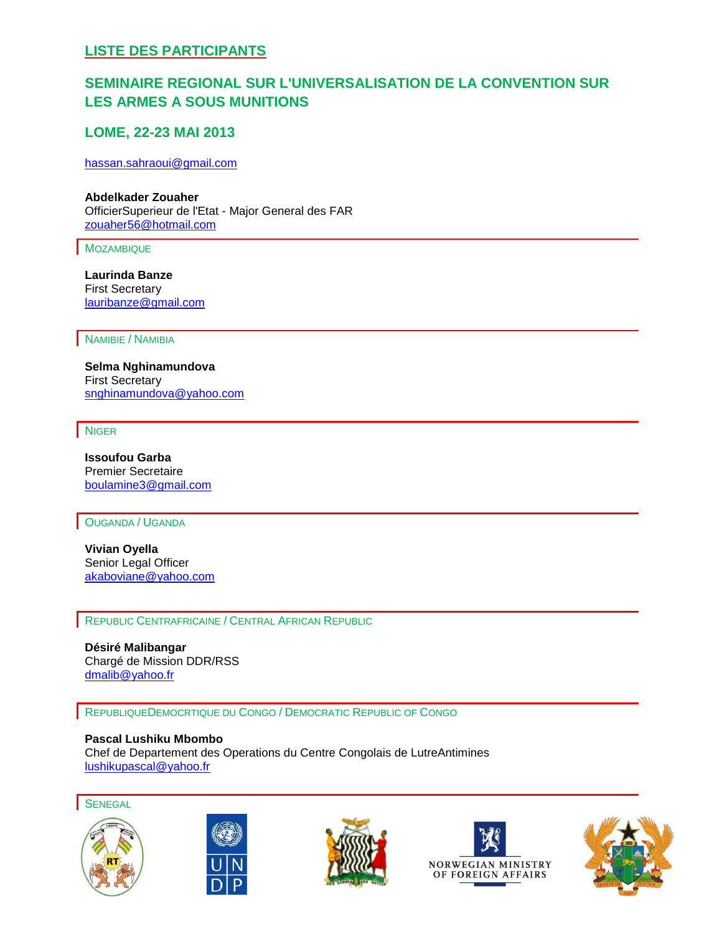# **SEMINAIRE REGIONAL SUR L'UNIVERSALISATION DE LA CONVENTION SUR LES ARMES A SOUS MUNITIONS**

## **LOME, 22-23 MAI 2013**

[hassan.sahraoui@gmail.com](mailto:hassan.sahraoui@gmail.com)

**Abdelkader Zouaher** OfficierSuperieur de l'Etat - Major General des FAR [zouaher56@hotmail.com](mailto:zouaher56@hotmail.com)

MOZAMBIQUE

**Laurinda Banze** First Secretary [lauribanze@gmail.com](mailto:lauribanze@gmail.com)

NAMIBIE / NAMIBIA

**Selma Nghinamundova** First Secretary [snghinamundova@yahoo.com](mailto:snghinamundova@yahoo.com)

NIGER

**Issoufou Garba** Premier Secretaire [boulamine3@gmail.com](mailto:boulamine3@gmail.com)

OUGANDA / UGANDA

**Vivian Oyella** Senior Legal Officer [akaboviane@yahoo.com](mailto:akaboviane@yahoo.com)

REPUBLIC CENTRAFRICAINE / CENTRAL AFRICAN REPUBLIC

**Désiré Malibangar** Chargé de Mission DDR/RSS [dmalib@yahoo.fr](mailto:laurentwakana1@yahoo.fr)

REPUBLIQUEDEMOCRTIQUE DU CONGO / DEMOCRATIC REPUBLIC OF CONGO

**Pascal Lushiku Mbombo** Chef de Departement des Operations du Centre Congolais de LutreAntimines [lushikupascal@yahoo.fr](mailto:lushikupascal@yahoo.fr)

**SENEGAL** 









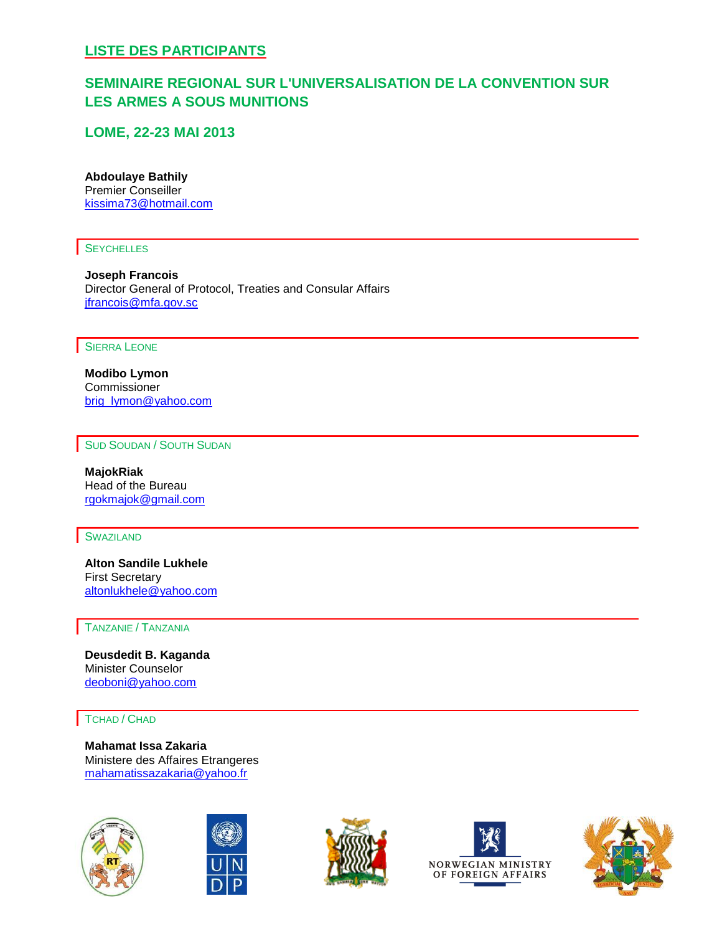# **SEMINAIRE REGIONAL SUR L'UNIVERSALISATION DE LA CONVENTION SUR LES ARMES A SOUS MUNITIONS**

## **LOME, 22-23 MAI 2013**

### **Abdoulaye Bathily**

Premier Conseiller kissima73@hotmail.com

### **SEYCHELLES**

**Joseph Francois** Director General of Protocol, Treaties and Consular Affairs [jfrancois@mfa.gov.sc](mailto:ratefiniaina@yahoo.fr)

SIERRA LEONE

**Modibo Lymon** Commissioner brig\_lymon@yahoo.com

SUD SOUDAN / SOUTH SUDAN

**MajokRiak** Head of the Bureau [rgokmajok@gmail.com](mailto:SALLABOU2001@YAHOO.FR)

#### **SWAZILAND**

**Alton Sandile Lukhele** First Secretary altonlukhele@yahoo.com

#### TANZANIE / TANZANIA

**Deusdedit B. Kaganda** Minister Counselor [deoboni@yahoo.com](mailto:tafarqui@yahoo.fr)

TCHAD / CHAD

**Mahamat Issa Zakaria** Ministere des Affaires Etrangeres [mahamatissazakaria@yahoo.fr](mailto:mahamatissazakaria@yahoo.fr)









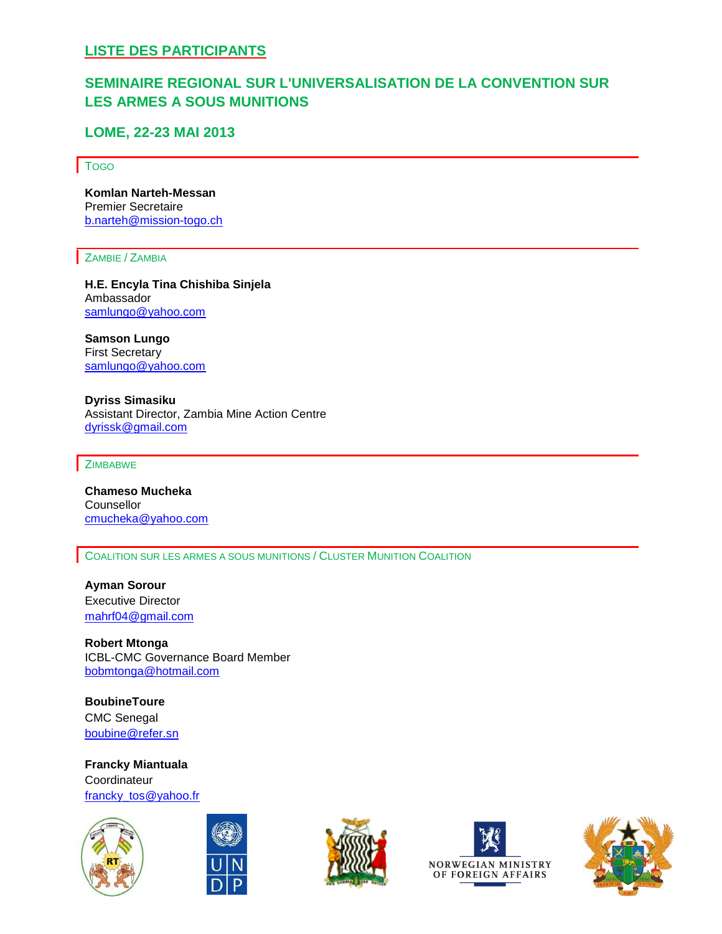# **SEMINAIRE REGIONAL SUR L'UNIVERSALISATION DE LA CONVENTION SUR LES ARMES A SOUS MUNITIONS**

## **LOME, 22-23 MAI 2013**

#### TOGO

**Komlan Narteh-Messan** Premier Secretaire b.narteh@mission-togo.ch

ZAMBIE / ZAMBIA

**H.E. Encyla Tina Chishiba Sinjela** Ambassador [samlungo@yahoo.com](mailto:kissima73@hotmail.com)

**Samson Lungo** First Secretary [samlungo@yahoo.com](mailto:samlungo@yahoo.com)

**Dyriss Simasiku** Assistant Director, Zambia Mine Action Centre dyrissk@gmail.com

**ZIMBABWE** 

**Chameso Mucheka Counsellor** [cmucheka@yahoo.com](mailto:jfrancois@mfa.gov.sc)

COALITION SUR LES ARMES A SOUS MUNITIONS / CLUSTER MUNITION COALITION

**Ayman Sorour** Executive Director [mahrf04@gmail.com](mailto:mahrf04@gmail.com)

**Robert Mtonga** ICBL-CMC Governance Board Member [bobmtonga@hotmail.com](mailto:bobmtonga@hotmail.com)

**BoubineToure** CMC Senegal [boubine@refer.sn](mailto:boubine@refer.sn)

**Francky Miantuala Coordinateur** francky tos@yahoo.fr









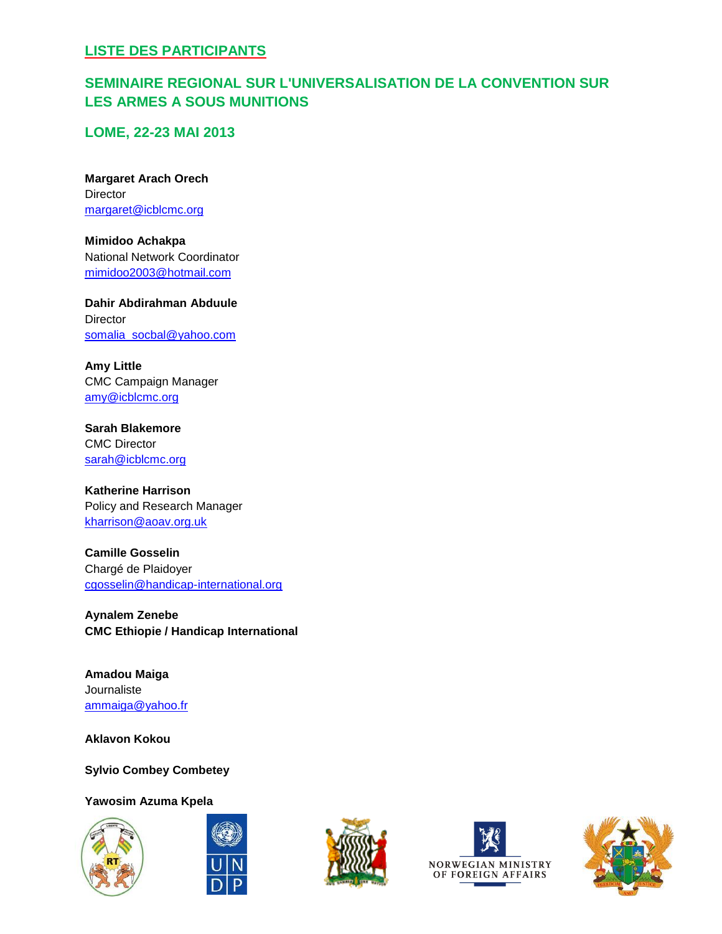# **SEMINAIRE REGIONAL SUR L'UNIVERSALISATION DE LA CONVENTION SUR LES ARMES A SOUS MUNITIONS**

**LOME, 22-23 MAI 2013**

**Margaret Arach Orech Director** [margaret@icblcmc.org](mailto:margaret@icblcmc.org)

**Mimidoo Achakpa** National Network Coordinator [mimidoo2003@hotmail.com](mailto:mimidoo2003@hotmail.com)

**Dahir Abdirahman Abduule** Director [somalia\\_socbal@yahoo.com](mailto:somalia_socbal@yahoo.com)

**Amy Little** CMC Campaign Manager [amy@icblcmc.org](mailto:amy@icblcmc.org)

**Sarah Blakemore** CMC Director [sarah@icblcmc.org](mailto:sarah@icblcmc.org)

**Katherine Harrison** Policy and Research Manager [kharrison@aoav.org.uk](mailto:kharrison@aoav.org.uk)

**Camille Gosselin** Chargé de Plaidoyer [cgosselin@handicap-international.org](mailto:cgosselin@handicap-international.org)

**Aynalem Zenebe CMC Ethiopie / Handicap International**

**Amadou Maiga** Journaliste [ammaiga@yahoo.fr](mailto:ammaiga@yahoo.fr)

**Aklavon Kokou**

**Sylvio Combey Combetey**

**Yawosim Azuma Kpela**